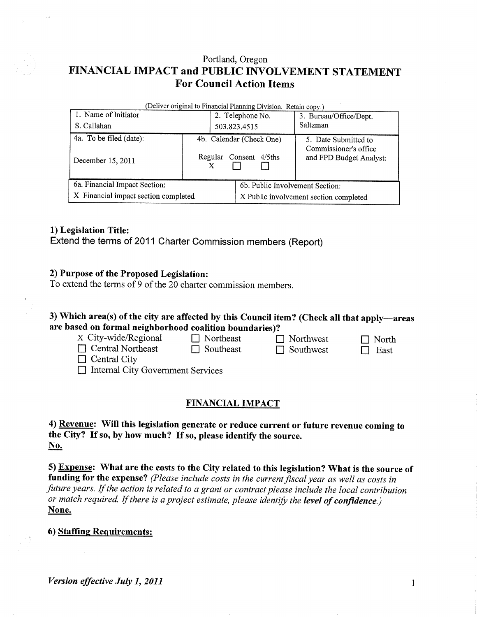# Portland, Oregon FINANCIAL IMPACT and PUBLIC INVOLVEMENT STATEMENT **For Council Action Items**

| (Deliver original to Financial Planning Division. Retain copy.) |         |                                        |                                                  |  |  |  |  |  |  |
|-----------------------------------------------------------------|---------|----------------------------------------|--------------------------------------------------|--|--|--|--|--|--|
| 1. Name of Initiator                                            |         | 2. Telephone No.                       | 3. Bureau/Office/Dept.                           |  |  |  |  |  |  |
| S. Callahan                                                     |         | 503.823.4515                           | Saltzman                                         |  |  |  |  |  |  |
| 4a. To be filed (date):                                         |         | 4b. Calendar (Check One)               | 5. Date Submitted to                             |  |  |  |  |  |  |
| December 15, 2011                                               | Regular | Consent 4/5ths                         | Commissioner's office<br>and FPD Budget Analyst: |  |  |  |  |  |  |
| 6a. Financial Impact Section:                                   |         | 6b. Public Involvement Section:        |                                                  |  |  |  |  |  |  |
| X Financial impact section completed                            |         | X Public involvement section completed |                                                  |  |  |  |  |  |  |

## 1) Legislation Title:

Extend the terms of 2011 Charter Commission members (Report)

# 2) Purpose of the Proposed Legislation:

To extend the terms of 9 of the  $20$  charter commission members.

## 3) Which area(s) of the city are affected by this Council item? (Check all that apply—areas are based on formal neighborhood coalition boundaries)?

| X City-wide/Regional                     | $\Box$ Northeast | $\Box$ Northwest | $\Box$ North |  |  |  |  |
|------------------------------------------|------------------|------------------|--------------|--|--|--|--|
| $\Box$ Central Northeast                 | $\Box$ Southeast | $\Box$ Southwest | East         |  |  |  |  |
| $\Box$ Central City                      |                  |                  |              |  |  |  |  |
| $\Box$ Internal City Government Services |                  |                  |              |  |  |  |  |
|                                          |                  |                  |              |  |  |  |  |

## **FINANCIAL IMPACT**

## 4) Revenue: Will this legislation generate or reduce current or future revenue coming to the City? If so, by how much? If so, please identify the source.  $No.$

5) Expense: What are the costs to the City related to this legislation? What is the source of funding for the expense? (Please include costs in the current fiscal year as well as costs in future years. If the action is related to a grant or contract please include the local contribution or match required. If there is a project estimate, please identify the level of confidence.) None.

#### 6) Staffing Requirements:

Version effective July 1, 2011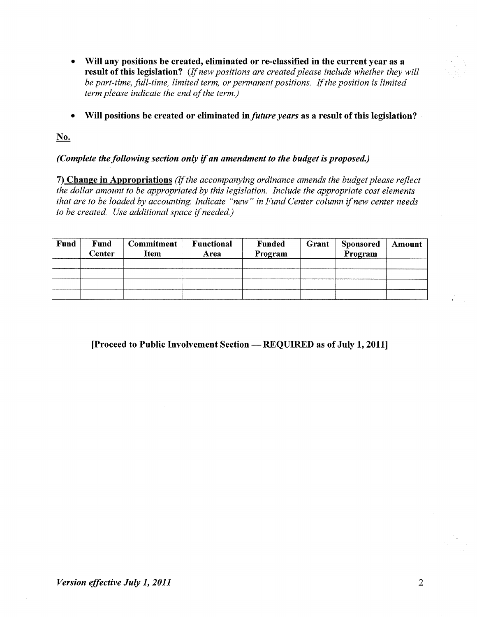- Will any positions be created, eliminated or re-classified in the current year as a result of this legislation? (If new positions are created please include whether they will be part-time, full-time, limited term, or permanent positions. If the position is limited term please indicate the end of the term.)
- Will positions be created or eliminated in *future years* as a result of this legislation?

No.

## (Complete the following section only if an amendment to the budget is proposed.)

7) Change in Appropriations (If the accompanying ordinance amends the budget please reflect the dollar amount to be appropriated by this legislation. Include the appropriate cost elements that are to be loaded by accounting. Indicate "new" in Fund Center column if new center needs to be created. Use additional space if needed.)

| Fund | Fund<br>Center | <b>Commitment</b><br>Item | <b>Functional</b><br>Area | <b>Funded</b><br>Program | Grant | <b>Sponsored</b><br>Program | Amount |
|------|----------------|---------------------------|---------------------------|--------------------------|-------|-----------------------------|--------|
|      |                |                           |                           |                          |       |                             |        |
|      |                |                           |                           |                          |       |                             |        |
|      |                |                           |                           |                          |       |                             |        |
|      |                |                           |                           |                          |       |                             |        |

[Proceed to Public Involvement Section — REQUIRED as of July 1, 2011]